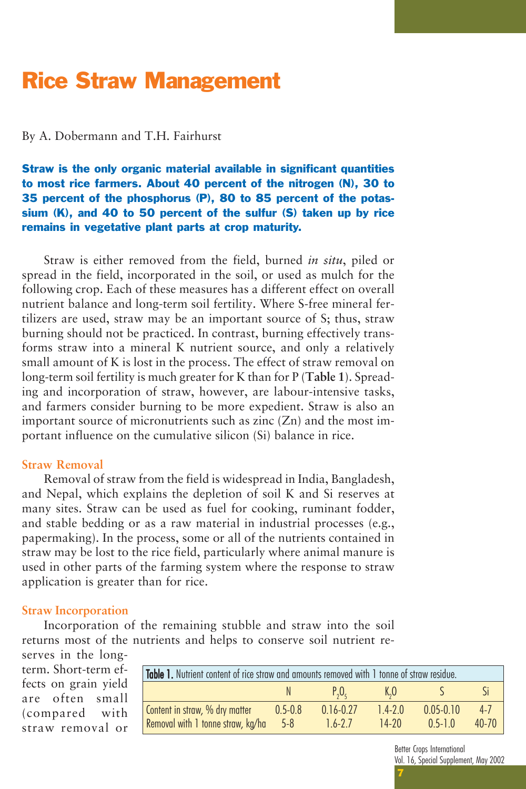# Rice Straw Management

### By A. Dobermann and T.H. Fairhurst

## Straw is the only organic material available in significant quantities to most rice farmers. About 40 percent of the nitrogen (N), 30 to 35 percent of the phosphorus (P), 80 to 85 percent of the potassium (K), and 40 to 50 percent of the sulfur (S) taken up by rice remains in vegetative plant parts at crop maturity.

Straw is either removed from the field, burned *in situ*, piled or spread in the field, incorporated in the soil, or used as mulch for the following crop. Each of these measures has a different effect on overall nutrient balance and long-term soil fertility. Where S-free mineral fertilizers are used, straw may be an important source of S; thus, straw burning should not be practiced. In contrast, burning effectively transforms straw into a mineral K nutrient source, and only a relatively small amount of K is lost in the process. The effect of straw removal on long-term soil fertility is much greater for K than for P (**Table 1**). Spreading and incorporation of straw, however, are labour-intensive tasks, and farmers consider burning to be more expedient. Straw is also an important source of micronutrients such as zinc (Zn) and the most important influence on the cumulative silicon (Si) balance in rice.

### **Straw Removal**

Removal of straw from the field is widespread in India, Bangladesh, and Nepal, which explains the depletion of soil K and Si reserves at many sites. Straw can be used as fuel for cooking, ruminant fodder, and stable bedding or as a raw material in industrial processes (e.g., papermaking). In the process, some or all of the nutrients contained in straw may be lost to the rice field, particularly where animal manure is used in other parts of the farming system where the response to straw application is greater than for rice.

#### **Straw Incorporation**

Incorporation of the remaining stubble and straw into the soil returns most of the nutrients and helps to conserve soil nutrient reserves in the long-

term. Short-term effects on grain yield are often small (compared with straw removal or

| Table 1. Nutrient content of rice straw and amounts removed with 1 tonne of straw residue. |             |               |             |               |           |  |  |  |
|--------------------------------------------------------------------------------------------|-------------|---------------|-------------|---------------|-----------|--|--|--|
|                                                                                            |             | $P_{0}O_{c}$  | $K_{0}$     |               |           |  |  |  |
| Content in straw, % dry matter                                                             | $0.5 - 0.8$ | $0.16 - 0.27$ | $1.4 - 2.0$ | $0.05 - 0.10$ | $4 - 7$   |  |  |  |
| Removal with 1 tonne straw, kg/ha                                                          | $-5-8$      | $1.6 - 2.7$   | $14-20$     | $0.5 - 1.0$   | $40 - 70$ |  |  |  |

Better Crops International Vol. 16, Special Supplement, May 2002

7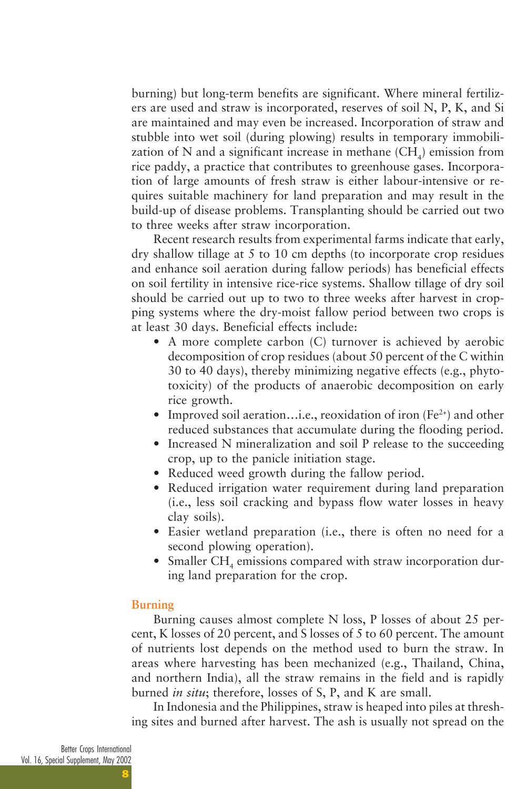burning) but long-term benefits are significant. Where mineral fertilizers are used and straw is incorporated, reserves of soil N, P, K, and Si are maintained and may even be increased. Incorporation of straw and stubble into wet soil (during plowing) results in temporary immobilization of N and a significant increase in methane  $\text{(CH}_{4}\text{)}$  emission from rice paddy, a practice that contributes to greenhouse gases. Incorporation of large amounts of fresh straw is either labour-intensive or requires suitable machinery for land preparation and may result in the build-up of disease problems. Transplanting should be carried out two to three weeks after straw incorporation.

Recent research results from experimental farms indicate that early, dry shallow tillage at 5 to 10 cm depths (to incorporate crop residues and enhance soil aeration during fallow periods) has beneficial effects on soil fertility in intensive rice-rice systems. Shallow tillage of dry soil should be carried out up to two to three weeks after harvest in cropping systems where the dry-moist fallow period between two crops is at least 30 days. Beneficial effects include:

- A more complete carbon (C) turnover is achieved by aerobic decomposition of crop residues (about 50 percent of the C within 30 to 40 days), thereby minimizing negative effects (e.g., phytotoxicity) of the products of anaerobic decomposition on early rice growth.
- Improved soil aeration…i.e., reoxidation of iron  $(Fe^{2+})$  and other reduced substances that accumulate during the flooding period.
- Increased N mineralization and soil P release to the succeeding crop, up to the panicle initiation stage.
- Reduced weed growth during the fallow period.
- Reduced irrigation water requirement during land preparation (i.e., less soil cracking and bypass flow water losses in heavy clay soils).
- Easier wetland preparation (i.e., there is often no need for a second plowing operation).
- Smaller  $CH_4$  emissions compared with straw incorporation during land preparation for the crop.

#### **Burning**

Burning causes almost complete N loss, P losses of about 25 percent, K losses of 20 percent, and S losses of 5 to 60 percent. The amount of nutrients lost depends on the method used to burn the straw. In areas where harvesting has been mechanized (e.g., Thailand, China, and northern India), all the straw remains in the field and is rapidly burned *in situ*; therefore, losses of S, P, and K are small.

In Indonesia and the Philippines, straw is heaped into piles at threshing sites and burned after harvest. The ash is usually not spread on the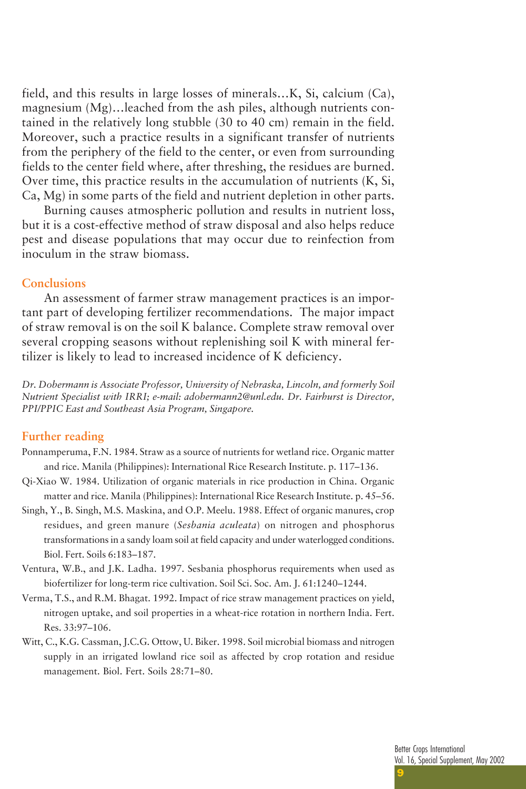field, and this results in large losses of minerals…K, Si, calcium (Ca), magnesium (Mg)…leached from the ash piles, although nutrients contained in the relatively long stubble (30 to 40 cm) remain in the field. Moreover, such a practice results in a significant transfer of nutrients from the periphery of the field to the center, or even from surrounding fields to the center field where, after threshing, the residues are burned. Over time, this practice results in the accumulation of nutrients (K, Si, Ca, Mg) in some parts of the field and nutrient depletion in other parts.

Burning causes atmospheric pollution and results in nutrient loss, but it is a cost-effective method of straw disposal and also helps reduce pest and disease populations that may occur due to reinfection from inoculum in the straw biomass.

#### **Conclusions**

An assessment of farmer straw management practices is an important part of developing fertilizer recommendations. The major impact of straw removal is on the soil K balance. Complete straw removal over several cropping seasons without replenishing soil K with mineral fertilizer is likely to lead to increased incidence of K deficiency.

*Dr. Dobermann is Associate Professor, University of Nebraska, Lincoln, and formerly Soil Nutrient Specialist with IRRI; e-mail: adobermann2@unl.edu. Dr. Fairhurst is Director, PPI/PPIC East and Southeast Asia Program, Singapore.*

#### **Further reading**

- Ponnamperuma, F.N. 1984. Straw as a source of nutrients for wetland rice. Organic matter and rice. Manila (Philippines): International Rice Research Institute. p. 117–136.
- Qi-Xiao W. 1984. Utilization of organic materials in rice production in China. Organic matter and rice. Manila (Philippines): International Rice Research Institute. p. 45–56.
- Singh, Y., B. Singh, M.S. Maskina, and O.P. Meelu. 1988. Effect of organic manures, crop residues, and green manure (*Sesbania aculeata*) on nitrogen and phosphorus transformations in a sandy loam soil at field capacity and under waterlogged conditions. Biol. Fert. Soils 6:183–187.
- Ventura, W.B., and J.K. Ladha. 1997. Sesbania phosphorus requirements when used as biofertilizer for long-term rice cultivation. Soil Sci. Soc. Am. J. 61:1240–1244.
- Verma, T.S., and R.M. Bhagat. 1992. Impact of rice straw management practices on yield, nitrogen uptake, and soil properties in a wheat-rice rotation in northern India. Fert. Res. 33:97–106.
- Witt, C., K.G. Cassman, J.C.G. Ottow, U. Biker. 1998. Soil microbial biomass and nitrogen supply in an irrigated lowland rice soil as affected by crop rotation and residue management. Biol. Fert. Soils 28:71–80.

9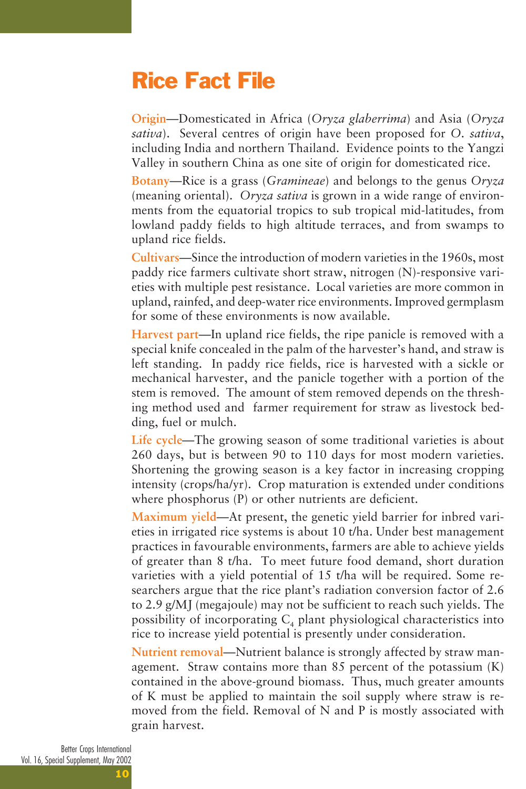# Rice Fact File

**Origin**—Domesticated in Africa (*Oryza glaberrima*) and Asia (*Oryza sativa*). Several centres of origin have been proposed for *O. sativa*, including India and northern Thailand. Evidence points to the Yangzi Valley in southern China as one site of origin for domesticated rice.

**Botany**—Rice is a grass (*Gramineae*) and belongs to the genus *Oryza* (meaning oriental). *Oryza sativa* is grown in a wide range of environments from the equatorial tropics to sub tropical mid-latitudes, from lowland paddy fields to high altitude terraces, and from swamps to upland rice fields.

**Cultivars**—Since the introduction of modern varieties in the 1960s, most paddy rice farmers cultivate short straw, nitrogen (N)-responsive varieties with multiple pest resistance. Local varieties are more common in upland, rainfed, and deep-water rice environments. Improved germplasm for some of these environments is now available.

**Harvest part**—In upland rice fields, the ripe panicle is removed with a special knife concealed in the palm of the harvester's hand, and straw is left standing. In paddy rice fields, rice is harvested with a sickle or mechanical harvester, and the panicle together with a portion of the stem is removed. The amount of stem removed depends on the threshing method used and farmer requirement for straw as livestock bedding, fuel or mulch.

**Life cycle**—The growing season of some traditional varieties is about 260 days, but is between 90 to 110 days for most modern varieties. Shortening the growing season is a key factor in increasing cropping intensity (crops/ha/yr). Crop maturation is extended under conditions where phosphorus (P) or other nutrients are deficient.

**Maximum yield**—At present, the genetic yield barrier for inbred varieties in irrigated rice systems is about 10 t/ha. Under best management practices in favourable environments, farmers are able to achieve yields of greater than 8 t/ha. To meet future food demand, short duration varieties with a yield potential of 15 t/ha will be required. Some researchers argue that the rice plant's radiation conversion factor of 2.6 to 2.9 g/MJ (megajoule) may not be sufficient to reach such yields. The possibility of incorporating  $C_4$  plant physiological characteristics into rice to increase yield potential is presently under consideration.

**Nutrient removal**—Nutrient balance is strongly affected by straw management. Straw contains more than 85 percent of the potassium (K) contained in the above-ground biomass. Thus, much greater amounts of K must be applied to maintain the soil supply where straw is removed from the field. Removal of N and P is mostly associated with grain harvest.